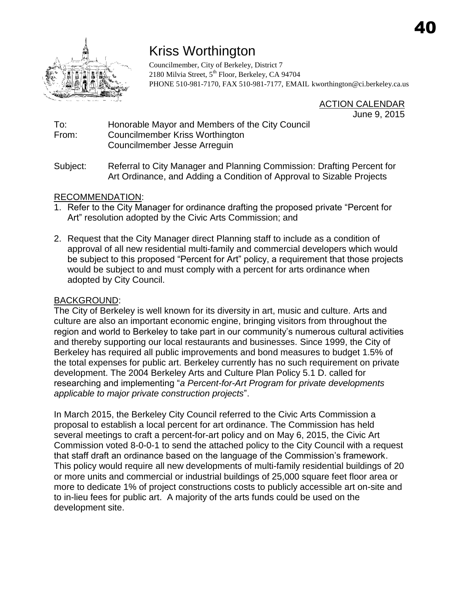

# Kriss Worthington

Councilmember, City of Berkeley, District 7 2180 Milvia Street, 5<sup>th</sup> Floor, Berkeley, CA 94704 PHONE 510-981-7170, FAX 510-981-7177, EMAIL [kworthington@ci.berkeley.ca.us](mailto:kworthington@ci.berkeley.ca.us)

> ACTION CALENDAR June 9, 2015

# To: Honorable Mayor and Members of the City Council From: Councilmember Kriss Worthington Councilmember Jesse Arreguin

Subject: Referral to City Manager and Planning Commission: Drafting Percent for Art Ordinance, and Adding a Condition of Approval to Sizable Projects

# RECOMMENDATION:

- 1. Refer to the City Manager for ordinance drafting the proposed private "Percent for Art" resolution adopted by the Civic Arts Commission; and
- 2. Request that the City Manager direct Planning staff to include as a condition of approval of all new residential multi-family and commercial developers which would be subject to this proposed "Percent for Art" policy, a requirement that those projects would be subject to and must comply with a percent for arts ordinance when adopted by City Council.

# BACKGROUND:

The City of Berkeley is well known for its diversity in art, music and culture. Arts and culture are also an important economic engine, bringing visitors from throughout the region and world to Berkeley to take part in our community's numerous cultural activities and thereby supporting our local restaurants and businesses. Since 1999, the City of Berkeley has required all public improvements and bond measures to budget 1.5% of the total expenses for public art. Berkeley currently has no such requirement on private development. The 2004 Berkeley Arts and Culture Plan Policy 5.1 D. called for researching and implementing "*a Percent-for-Art Program for private developments applicable to major private construction projects*".

In March 2015, the Berkeley City Council referred to the Civic Arts Commission a proposal to establish a local percent for art ordinance. The Commission has held several meetings to craft a percent-for-art policy and on May 6, 2015, the Civic Art Commission voted 8-0-0-1 to send the attached policy to the City Council with a request that staff draft an ordinance based on the language of the Commission's framework. This policy would require all new developments of multi-family residential buildings of 20 or more units and commercial or industrial buildings of 25,000 square feet floor area or more to dedicate 1% of project constructions costs to publicly accessible art on-site and to in-lieu fees for public art. A majority of the arts funds could be used on the development site.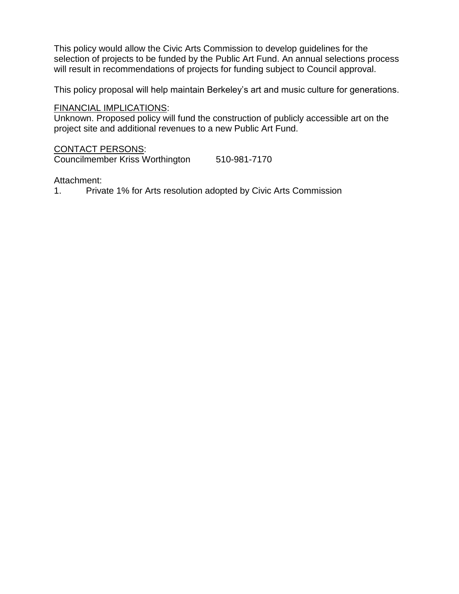This policy would allow the Civic Arts Commission to develop guidelines for the selection of projects to be funded by the Public Art Fund. An annual selections process will result in recommendations of projects for funding subject to Council approval.

This policy proposal will help maintain Berkeley's art and music culture for generations.

#### FINANCIAL IMPLICATIONS:

Unknown. Proposed policy will fund the construction of publicly accessible art on the project site and additional revenues to a new Public Art Fund.

CONTACT PERSONS: Councilmember Kriss Worthington 510-981-7170

#### Attachment:

1. Private 1% for Arts resolution adopted by Civic Arts Commission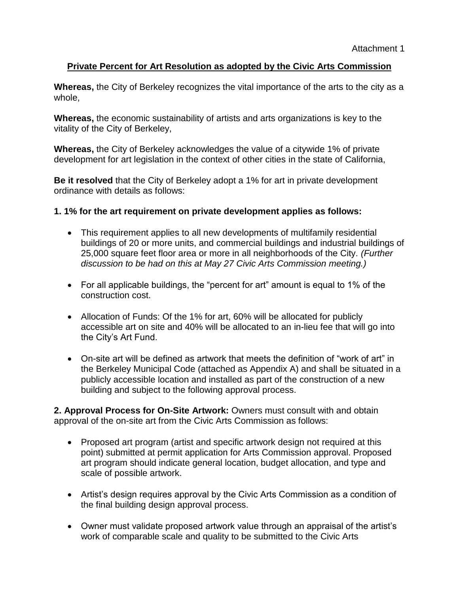# **Private Percent for Art Resolution as adopted by the Civic Arts Commission**

**Whereas,** the City of Berkeley recognizes the vital importance of the arts to the city as a whole,

**Whereas,** the economic sustainability of artists and arts organizations is key to the vitality of the City of Berkeley,

**Whereas,** the City of Berkeley acknowledges the value of a citywide 1% of private development for art legislation in the context of other cities in the state of California,

**Be it resolved** that the City of Berkeley adopt a 1% for art in private development ordinance with details as follows:

### **1. 1% for the art requirement on private development applies as follows:**

- This requirement applies to all new developments of multifamily residential buildings of 20 or more units, and commercial buildings and industrial buildings of 25,000 square feet floor area or more in all neighborhoods of the City. *(Further discussion to be had on this at May 27 Civic Arts Commission meeting.)*
- For all applicable buildings, the "percent for art" amount is equal to 1% of the construction cost.
- Allocation of Funds: Of the 1% for art, 60% will be allocated for publicly accessible art on site and 40% will be allocated to an in-lieu fee that will go into the City's Art Fund.
- On-site art will be defined as artwork that meets the definition of "work of art" in the Berkeley Municipal Code (attached as Appendix A) and shall be situated in a publicly accessible location and installed as part of the construction of a new building and subject to the following approval process.

**2. Approval Process for On-Site Artwork:** Owners must consult with and obtain approval of the on-site art from the Civic Arts Commission as follows:

- Proposed art program (artist and specific artwork design not required at this point) submitted at permit application for Arts Commission approval. Proposed art program should indicate general location, budget allocation, and type and scale of possible artwork.
- Artist's design requires approval by the Civic Arts Commission as a condition of the final building design approval process.
- Owner must validate proposed artwork value through an appraisal of the artist's work of comparable scale and quality to be submitted to the Civic Arts